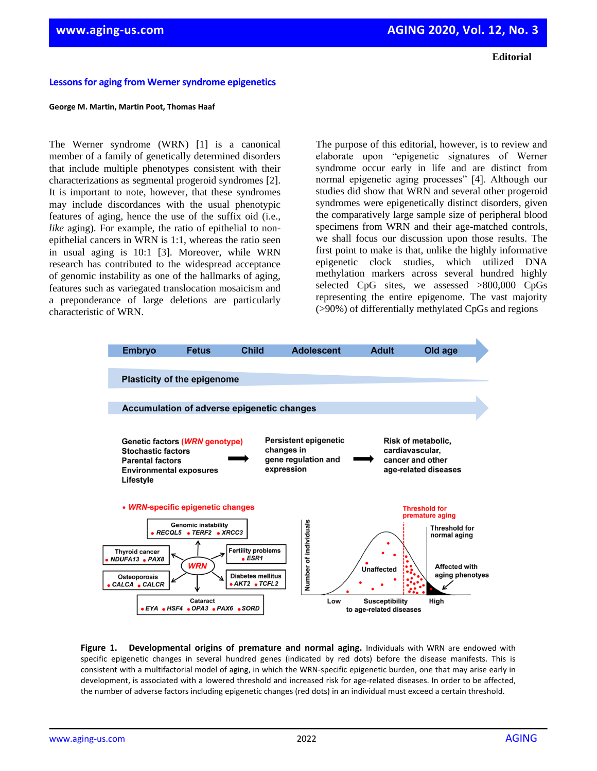#### **Editorial**

## **Lessons for aging from Werner syndrome epigenetics**

### **George M. Martin, Martin Poot, Thomas Haaf**

The Werner syndrome (WRN) [1] is a canonical member of a family of genetically determined disorders that include multiple phenotypes consistent with their characterizations as segmental progeroid syndromes [2]. It is important to note, however, that these syndromes may include discordances with the usual phenotypic features of aging, hence the use of the suffix oid (i.e., *like* aging). For example, the ratio of epithelial to nonepithelial cancers in WRN is 1:1, whereas the ratio seen in usual aging is 10:1 [3]. Moreover, while WRN research has contributed to the widespread acceptance of genomic instability as one of the hallmarks of aging, features such as variegated translocation mosaicism and a preponderance of large deletions are particularly characteristic of WRN.

The purpose of this editorial, however, is to review and elaborate upon "epigenetic signatures of Werner syndrome occur early in life and are distinct from normal epigenetic aging processes" [4]. Although our studies did show that WRN and several other progeroid syndromes were epigenetically distinct disorders, given the comparatively large sample size of peripheral blood specimens from WRN and their age-matched controls, we shall focus our discussion upon those results. The first point to make is that, unlike the highly informative epigenetic clock studies, which utilized DNA methylation markers across several hundred highly selected CpG sites, we assessed >800,000 CpGs representing the entire epigenome. The vast majority (>90%) of differentially methylated CpGs and regions



**Figure 1. Developmental origins of premature and normal aging.** Individuals with WRN are endowed with specific epigenetic changes in several hundred genes (indicated by red dots) before the disease manifests. This is consistent with a multifactorial model of aging, in which the WRN-specific epigenetic burden, one that may arise early in development, is associated with a lowered threshold and increased risk for age-related diseases. In order to be affected, the number of adverse factors including epigenetic changes (red dots) in an individual must exceed a certain threshold.